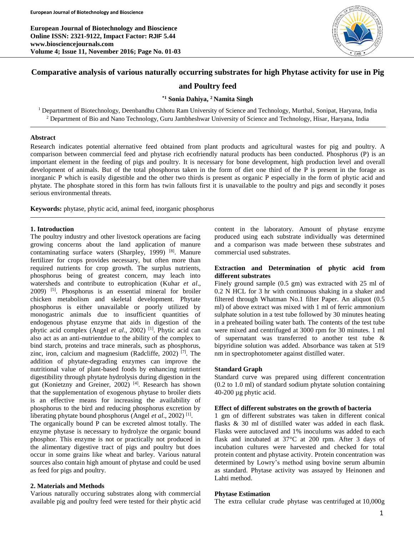**European Journal of Biotechnology and Bioscience Online ISSN: 2321-9122, Impact Factor: RJIF 5.44 www.biosciencejournals.com Volume 4; Issue 11, November 2016; Page No. 01-03**



# **Comparative analysis of various naturally occurring substrates for high Phytase activity for use in Pig**

### **and Poultry feed**

### **\*1 Sonia Dahiya, <sup>2</sup> Namita Singh**

<sup>1</sup> Department of Biotechnology, Deenbandhu Chhotu Ram University of Science and Technology, Murthal, Sonipat, Haryana, India <sup>2</sup> Department of Bio and Nano Technology, Guru Jambheshwar University of Science and Technology, Hisar, Haryana, India

#### **Abstract**

Research indicates potential alternative feed obtained from plant products and agricultural wastes for pig and poultry. A comparison between commercial feed and phytase rich ecofriendly natural products has been conducted. Phosphorus (P) is an important element in the feeding of pigs and poultry. It is necessary for bone development, high production level and overall development of animals. But of the total phosphorus taken in the form of diet one third of the P is present in the forage as inorganic P which is easily digestible and the other two thirds is present as organic P especially in the form of phytic acid and phytate. The phosphate stored in this form has twin fallouts first it is unavailable to the poultry and pigs and secondly it poses serious environmental threats.

**Keywords:** phytase, phytic acid, animal feed, inorganic phosphorus

#### **1. Introduction**

The poultry industry and other livestock operations are facing growing concerns about the land application of manure contaminating surface waters (Sharpley, 1999)<sup>[8]</sup>. Manure fertilizer for crops provides necessary, but often more than required nutrients for crop growth. The surplus nutrients, phosphorus being of greatest concern, may leach into watersheds and contribute to eutrophication (Kuhar *et al*., 2009) [5] . Phosphorus is an essential mineral for broiler chicken metabolism and skeletal development. Phytate phosphorus is either unavailable or poorly utilized by monogastric animals due to insufficient quantities of endogenous phytase enzyme that aids in digestion of the phytic acid complex (Angel *et al*., 2002) [1] . Phytic acid can also act as an anti-nutrientdue to the ability of the complex to bind starch, proteins and trace minerals, such as phosphorus, zinc, iron, calcium and magnesium (Radcliffe, 2002) [7] . The addition of phytate-degrading enzymes can improve the nutritional value of plant-based foods by enhancing nutrient digestibility through phytate hydrolysis during digestion in the gut (Konietzny and Greiner, 2002)<sup>[4]</sup>. Research has shown that the supplementation of exogenous phytase to broiler diets is an effective means for increasing the availability of phosphorus to the bird and reducing phosphorus excretion by liberating phytate bound phosphorus (Angel *et al.*, 2002)<sup>[1]</sup>.

The organically bound P can be excreted almost totally. The enzyme phytase is necessary to hydrolyze the organic bound phosphor. This enzyme is not or practically not produced in the alimentary digestive tract of pigs and poultry but does occur in some grains like wheat and barley. Various natural sources also contain high amount of phytase and could be used as feed for pigs and poultry.

### **2. Materials and Methods**

Various naturally occuring substrates along with commercial available pig and poultry feed were tested for their phytic acid content in the laboratory. Amount of phytase enzyme produced using each substrate individually was determined and a comparison was made between these substrates and commercial used substrates.

### **Extraction and Determination of phytic acid from different substrates**

Finely ground sample (0.5 gm) was extracted with 25 ml of 0.2 N HCL for 3 hr with continuous shaking in a shaker and filtered through Whatman No.1 filter Paper. An aliquot (0.5 ml) of above extract was mixed with 1 ml of ferric ammonium sulphate solution in a test tube followed by 30 minutes heating in a preheated boiling water bath. The contents of the test tube were mixed and centrifuged at 3000 rpm for 30 minutes. 1 ml of supernatant was transferred to another test tube & bipyridine solution was added. Absorbance was taken at 519 nm in spectrophotometer against distilled water.

#### **Standard Graph**

Standard curve was prepared using different concentration (0.2 to 1.0 ml) of standard sodium phytate solution containing 40-200 µg phytic acid.

#### **Effect of different substrates on the growth of bacteria**

1 gm of different substrates was taken in different conical flasks & 30 ml of distilled water was added in each flask. Flasks were autoclaved and 1% inoculums was added to each flask and incubated at 37°C at 200 rpm. After 3 days of incubation cultures were harvested and checked for total protein content and phytase activity. Protein concentration was determined by Lowry's method using bovine serum albumin as standard. Phytase activity was assayed by Heinonen and Lahti method.

#### **Phytase Estimation**

The extra cellular crude phytase was centrifuged at 10,000g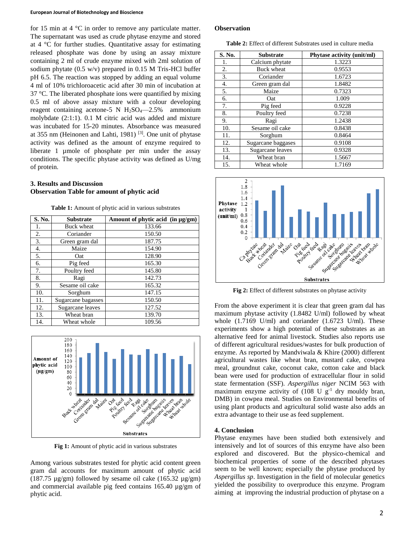#### **European Journal of Biotechnology and Bioscience**

for 15 min at 4  $\mathrm{^{\circ}C}$  in order to remove any particulate matter. The supernatant was used as crude phytase enzyme and stored at 4 °C for further studies. Quantitative assay for estimating released phosphate was done by using an assay mixture containing 2 ml of crude enzyme mixed with 2ml solution of sodium phytate  $(0.5 \text{ w/v})$  prepared in 0.15 M Tris-HCl buffer pH 6.5. The reaction was stopped by adding an equal volume 4 ml of 10% trichloroacetic acid after 30 min of incubation at 37 °C. The liberated phosphate ions were quantified by mixing 0.5 ml of above assay mixture with a colour developing reagent containing acetone-5 N  $H<sub>2</sub>SO<sub>4</sub>$ -2.5% ammonium molybdate (2:1:1). 0.1 M citric acid was added and mixture was incubated for 15-20 minutes. Absorbance was measured at 355 nm (Heinonen and Lahti, 1981)<sup>[3]</sup>. One unit of phytase activity was defined as the amount of enzyme required to liberate 1 umole of phosphate per min under the assay conditions. The specific phytase activity was defined as U/mg of protein.

## **3. Results and Discussion Observation Table for amount of phytic acid**

**Table 1:** Amount of phytic acid in various substrates

| S. No. | <b>Substrate</b>   | Amount of phytic acid (in µg/gm) |
|--------|--------------------|----------------------------------|
| 1.     | <b>Buck wheat</b>  | 133.66                           |
| 2.     | Coriander          | 150.50                           |
| 3.     | Green gram dal     | 187.75                           |
| 4.     | Maize              | 154.90                           |
| 5.     | Oat                | 128.90                           |
| 6.     | Pig feed           | 165.30                           |
| 7.     | Poultry feed       | 145.80                           |
| 8.     | Ragi               | 142.73                           |
| 9.     | Sesame oil cake    | 165.32                           |
| 10.    | Sorghum            | 147.15                           |
| 11.    | Sugarcane bagasses | 150.50                           |
| 12.    | Sugarcane leaves   | 127.52                           |
| 13.    | Wheat bran         | 139.70                           |
| 14.    | Wheat whole        | 109.56                           |



**Fig 1:** Amount of phytic acid in various substrates

Among various substrates tested for phytic acid content green gram dal accounts for maximum amount of phytic acid (187.75  $\mu$ g/gm) followed by sesame oil cake (165.32  $\mu$ g/gm) and commercial available pig feed contains 165.40 µg/gm of phytic acid.

#### **Observation**

**Table 2:** Effect of different Substrates used in culture media

| S. No. | <b>Substrate</b>   | Phytase activity (unit/ml) |
|--------|--------------------|----------------------------|
| 1.     | Calcium phytate    | 1.3223                     |
| 2.     | <b>Buck wheat</b>  | 0.9553                     |
| 3.     | Coriander          | 1.6723                     |
| 4.     | Green gram dal     | 1.8482                     |
| 5.     | Maize              | 0.7323                     |
| 6.     | Oat                | 1.009                      |
| 7.     | Pig feed           | 0.9228                     |
| 8.     | Poultry feed       | 0.7238                     |
| 9.     | Ragi               | 1.2438                     |
| 10.    | Sesame oil cake    | 0.8438                     |
| 11.    | Sorghum            | 0.8464                     |
| 12.    | Sugarcane baggases | 0.9108                     |
| 13.    | Sugarcane leaves   | 0.9328                     |
| 14.    | Wheat bran         | 1.5667                     |
| 15.    | Wheat whole        | 1.7169                     |



**Fig 2:** Effect of different substrates on phytase activity

From the above experiment it is clear that green gram dal has maximum phytase activity (1.8482 U/ml) followed by wheat whole (1.7169 U/ml) and coriander (1.6723 U/ml). These experiments show a high potential of these substrates as an alternative feed for animal livestock. Studies also reports use of different agricultural residues/wastes for bulk production of enzyme. As reported by Mandviwala & Khire (2000) different agricultural wastes like wheat bran, mustard cake, cowpea meal, groundnut cake, coconut cake, cotton cake and black bean were used for production of extracellular flour in solid state fermentation (SSF). *Aspergillus niger* NCIM 563 with maximum enzyme activity of  $(108 \text{ U g}^{-1} \text{ dry mouldy bran},$ DMB) in cowpea meal. Studies on Environmental benefits of using plant products and agricultural solid waste also adds an extra advantage to their use as feed supplement.

### **4. Conclusion**

Phytase enzymes have been studied both extensively and intensively and lot of sources of this enzyme have also been explored and discovered. But the physico-chemical and biochemical properties of some of the described phytases seem to be well known; especially the phytase produced by *Aspergillus sp*. Investigation in the field of molecular genetics yielded the possibility to overproduce this enzyme. Program aiming at improving the industrial production of phytase on a